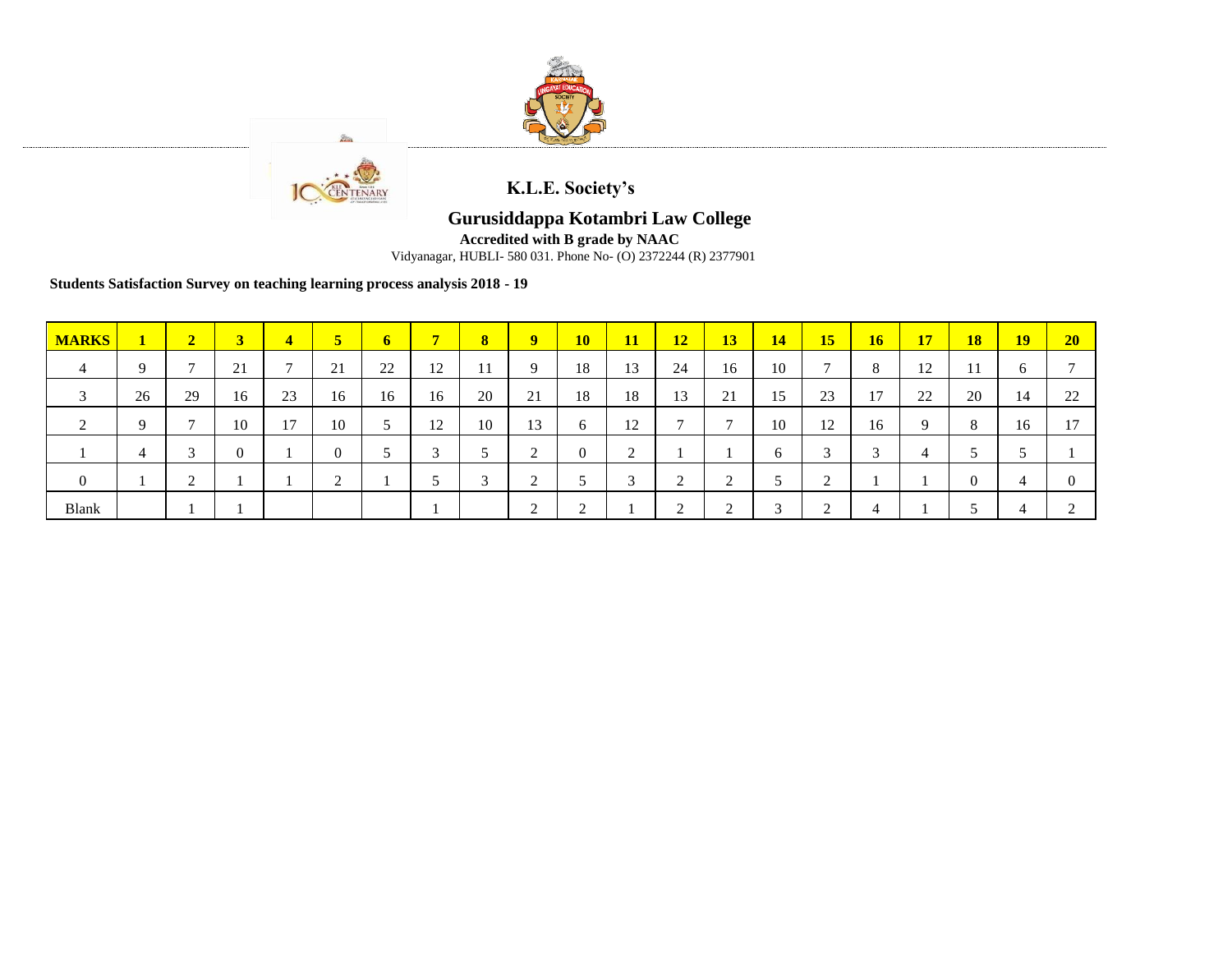



**K.L.E. Society's**

## **Gurusiddappa Kotambri Law College**

**Accredited with B grade by NAAC**

Vidyanagar, HUBLI- 580 031. Phone No- (O) 2372244 (R) 2377901

**Students Satisfaction Survey on teaching learning process analysis 2018 - 19**

| <b>MARKS</b>   | $\mathbf{1}$ | $\overline{2}$               | $\mathbf{3}$              | $\overline{4}$ | 5        | 6  |            | $\bf{8}$   | $9^{\circ}$ | <b>10</b>        | <b>11</b> | <b>12</b>      | <b>13</b>      | 14     | 15           | 16 <sup>2</sup> | <b>17</b> | <b>18</b> | <b>19</b> | 20 |
|----------------|--------------|------------------------------|---------------------------|----------------|----------|----|------------|------------|-------------|------------------|-----------|----------------|----------------|--------|--------------|-----------------|-----------|-----------|-----------|----|
| 4              | $\Omega$     | $\mathbf{r}$                 | $\bigcap$ 1<br>$\angle 1$ |                | 21       | 22 | 12         | -11        | 9           | 18               | 13        | 24             | 16             | 10     | $\mathbf{r}$ | 8               | 12        | 11        | $\sigma$  |    |
| 3              | 26           | 29                           | 16                        | 23             | 16       | 16 | 16         | 20         | 21          | 18               | 18        | 13             | 21             | 15     | 23           | 17              | 22        | 20        | 14        | 22 |
| 2              | Q            | $\mathbf{r}$                 | 10                        | 17             | 10       | J  | 12         | 10         | 13          | 6                | 12        | $\overline{ }$ | $\overline{ }$ | 10     | 12           | 16              | 9         | 8         | 16        | 17 |
|                |              | $\mathbf{\overline{3}}$<br>ب |                           |                | $\theta$ |    | $\sqrt{2}$ |            | ◠           | $\boldsymbol{0}$ | $\bigcap$ |                |                |        | $\sim$       | $\sim$          | 4         |           |           |    |
| $\overline{0}$ |              | $\bigcap$<br>∠               |                           |                |          |    |            | $\sqrt{2}$ | ◠           |                  | 3         | $\bigcap$      | $\bigcap$<br>∸ |        | $\sim$       |                 |           | 0         | 4         |    |
| Blank          |              |                              |                           |                |          |    |            |            | $\sim$      | $\sqrt{2}$<br>∠  |           | $\sqrt{2}$     | $\sqrt{2}$     | $\sim$ | $\sim$       | 4               |           |           |           |    |